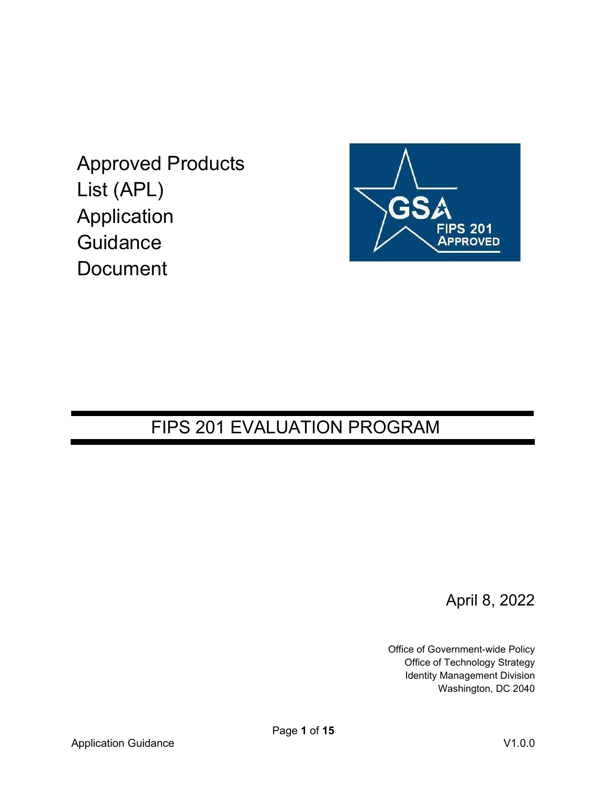Approved Products List (APL) Application **Guidance Document** 



## FIPS 201 EVALUATION PROGRAM

April 8, 2022

Office of Government-wide Policy Office of Technology Strategy Identity Management Division Washington, DC 2040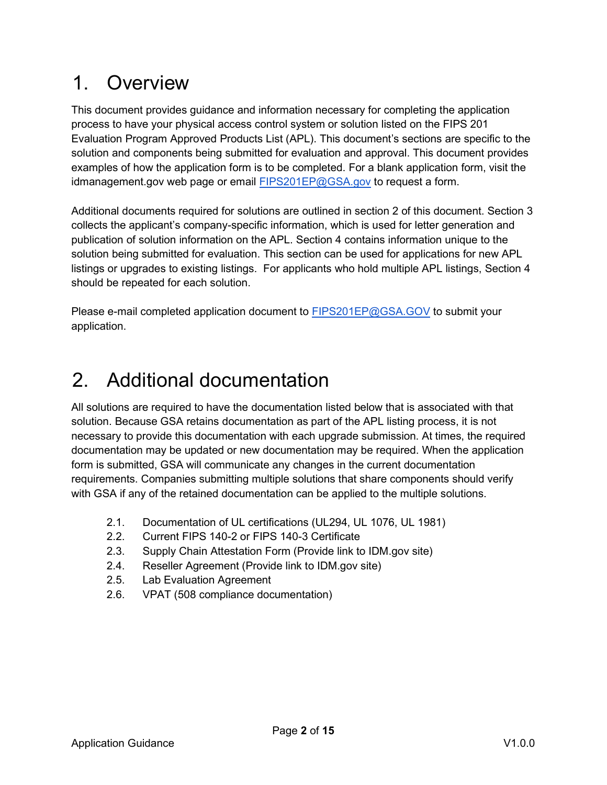# 1. Overview

This document provides guidance and information necessary for completing the application process to have your physical access control system or solution listed on the FIPS 201 Evaluation Program Approved Products List (APL). This document's sections are specific to the solution and components being submitted for evaluation and approval. This document provides examples of how the application form is to be completed. For a blank application form, visit the idmanagement.gov web page or email FIPS201EP@GSA.gov to request a form.

Additional documents required for solutions are outlined in section 2 of this document. Section 3 collects the applicant's company-specific information, which is used for letter generation and publication of solution information on the APL. Section 4 contains information unique to the solution being submitted for evaluation. This section can be used for applications for new APL listings or upgrades to existing listings. For applicants who hold multiple APL listings, Section 4 should be repeated for each solution.

Please e-mail completed application document to FIPS201EP@GSA.GOV to submit your application.

# 2. Additional documentation

All solutions are required to have the documentation listed below that is associated with that solution. Because GSA retains documentation as part of the APL listing process, it is not necessary to provide this documentation with each upgrade submission. At times, the required documentation may be updated or new documentation may be required. When the application form is submitted, GSA will communicate any changes in the current documentation requirements. Companies submitting multiple solutions that share components should verify with GSA if any of the retained documentation can be applied to the multiple solutions.

- 2.1. Documentation of UL certifications (UL294, UL 1076, UL 1981)
- 2.2. Current FIPS 140-2 or FIPS 140-3 Certificate
- 2.3. Supply Chain Attestation Form (Provide link to IDM.gov site)
- 2.4. Reseller Agreement (Provide link to IDM.gov site)
- 2.5. Lab Evaluation Agreement
- 2.6. VPAT (508 compliance documentation)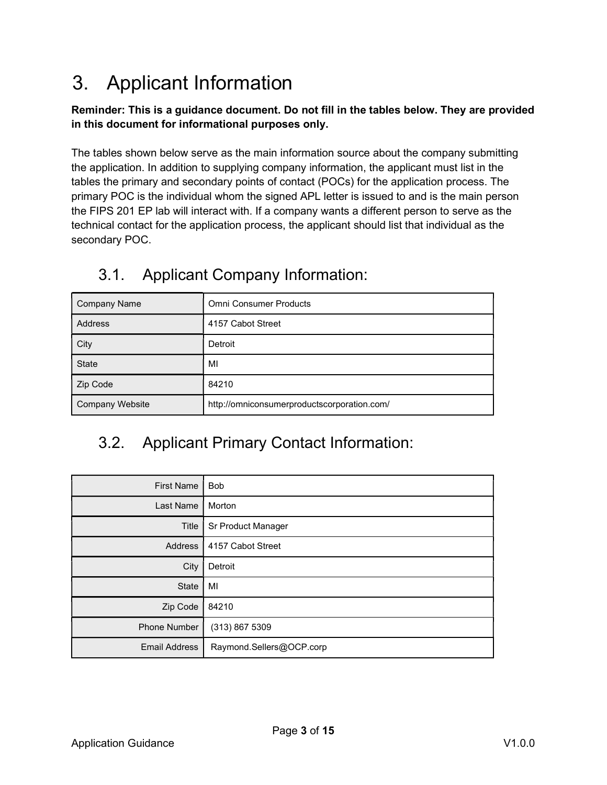# 3. Applicant Information

#### Reminder: This is a guidance document. Do not fill in the tables below. They are provided in this document for informational purposes only.

The tables shown below serve as the main information source about the company submitting the application. In addition to supplying company information, the applicant must list in the tables the primary and secondary points of contact (POCs) for the application process. The primary POC is the individual whom the signed APL letter is issued to and is the main person the FIPS 201 EP lab will interact with. If a company wants a different person to serve as the technical contact for the application process, the applicant should list that individual as the secondary POC.

| <b>Company Name</b>    | <b>Omni Consumer Products</b>               |
|------------------------|---------------------------------------------|
| Address                | 4157 Cabot Street                           |
| City                   | Detroit                                     |
| State                  | MI                                          |
| Zip Code               | 84210                                       |
| <b>Company Website</b> | http://omniconsumerproductscorporation.com/ |

### 3.1. Applicant Company Information:

## 3.2. Applicant Primary Contact Information:

| <b>First Name</b>    | <b>Bob</b>               |  |  |  |
|----------------------|--------------------------|--|--|--|
| Last Name            | Morton                   |  |  |  |
| Title                | Sr Product Manager       |  |  |  |
| Address              | 4157 Cabot Street        |  |  |  |
| City                 | Detroit                  |  |  |  |
| <b>State</b>         | MI                       |  |  |  |
| Zip Code             | 84210                    |  |  |  |
| Phone Number         | (313) 867 5309           |  |  |  |
| <b>Email Address</b> | Raymond.Sellers@OCP.corp |  |  |  |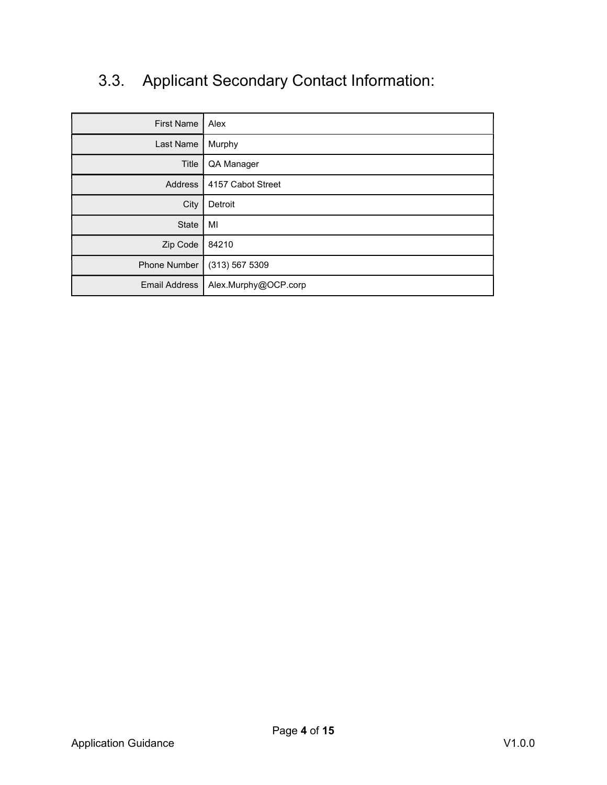## 3.3. Applicant Secondary Contact Information:

| <b>First Name</b>    | Alex                 |  |  |
|----------------------|----------------------|--|--|
| Last Name            | Murphy               |  |  |
| Title                | QA Manager           |  |  |
| <b>Address</b>       | 4157 Cabot Street    |  |  |
| City                 | Detroit              |  |  |
| <b>State</b>         | MI                   |  |  |
| Zip Code             | 84210                |  |  |
| Phone Number         | (313) 567 5309       |  |  |
| <b>Email Address</b> | Alex.Murphy@OCP.corp |  |  |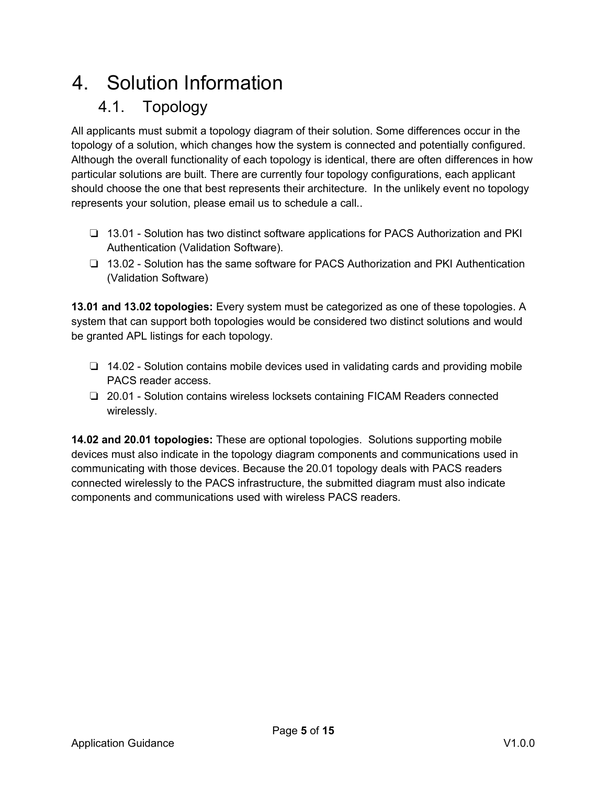# 4. Solution Information

## 4.1. Topology

All applicants must submit a topology diagram of their solution. Some differences occur in the topology of a solution, which changes how the system is connected and potentially configured. Although the overall functionality of each topology is identical, there are often differences in how particular solutions are built. There are currently four topology configurations, each applicant should choose the one that best represents their architecture. In the unlikely event no topology represents your solution, please email us to schedule a call..

- ❏ 13.01 Solution has two distinct software applications for PACS Authorization and PKI Authentication (Validation Software).
- ❏ 13.02 Solution has the same software for PACS Authorization and PKI Authentication (Validation Software)

13.01 and 13.02 topologies: Every system must be categorized as one of these topologies. A system that can support both topologies would be considered two distinct solutions and would be granted APL listings for each topology.

- ❏ 14.02 Solution contains mobile devices used in validating cards and providing mobile PACS reader access.
- ❏ 20.01 Solution contains wireless locksets containing FICAM Readers connected wirelessly.

14.02 and 20.01 topologies: These are optional topologies. Solutions supporting mobile devices must also indicate in the topology diagram components and communications used in communicating with those devices. Because the 20.01 topology deals with PACS readers connected wirelessly to the PACS infrastructure, the submitted diagram must also indicate components and communications used with wireless PACS readers.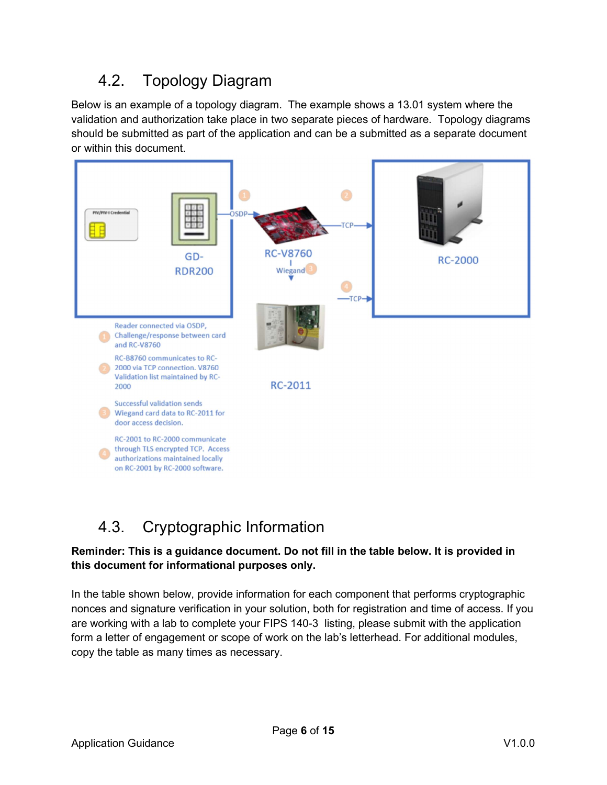## 4.2. Topology Diagram

Below is an example of a topology diagram. The example shows a 13.01 system where the validation and authorization take place in two separate pieces of hardware. Topology diagrams should be submitted as part of the application and can be a submitted as a separate document or within this document.



## 4.3. Cryptographic Information

#### Reminder: This is a guidance document. Do not fill in the table below. It is provided in this document for informational purposes only.

In the table shown below, provide information for each component that performs cryptographic nonces and signature verification in your solution, both for registration and time of access. If you are working with a lab to complete your FIPS 140-3 listing, please submit with the application form a letter of engagement or scope of work on the lab's letterhead. For additional modules, copy the table as many times as necessary.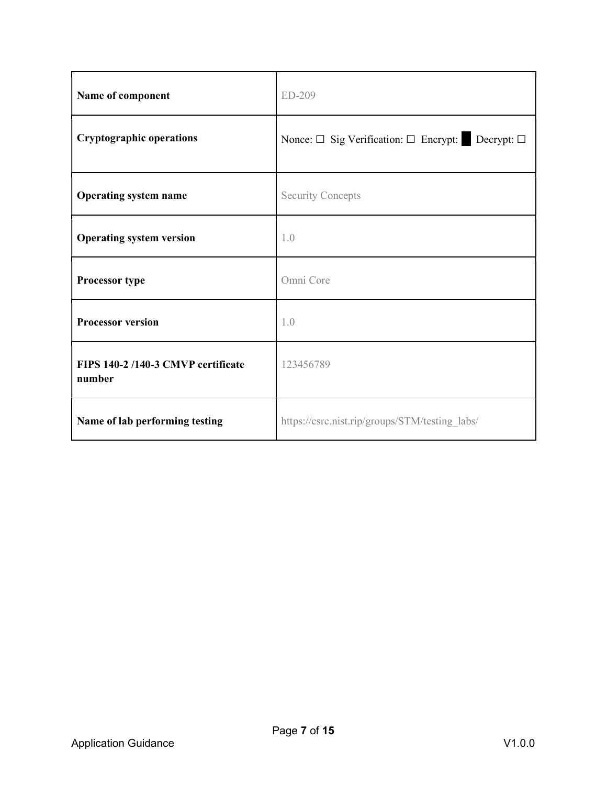| Name of component                           | ED-209                                           |
|---------------------------------------------|--------------------------------------------------|
| <b>Cryptographic operations</b>             | Nonce: □ Sig Verification: □ Encrypt: Decrypt: □ |
| <b>Operating system name</b>                | <b>Security Concepts</b>                         |
| <b>Operating system version</b>             | 1.0                                              |
| Processor type                              | Omni Core                                        |
| <b>Processor version</b>                    | 1.0                                              |
| FIPS 140-2/140-3 CMVP certificate<br>number | 123456789                                        |
| Name of lab performing testing              | https://csrc.nist.rip/groups/STM/testing labs/   |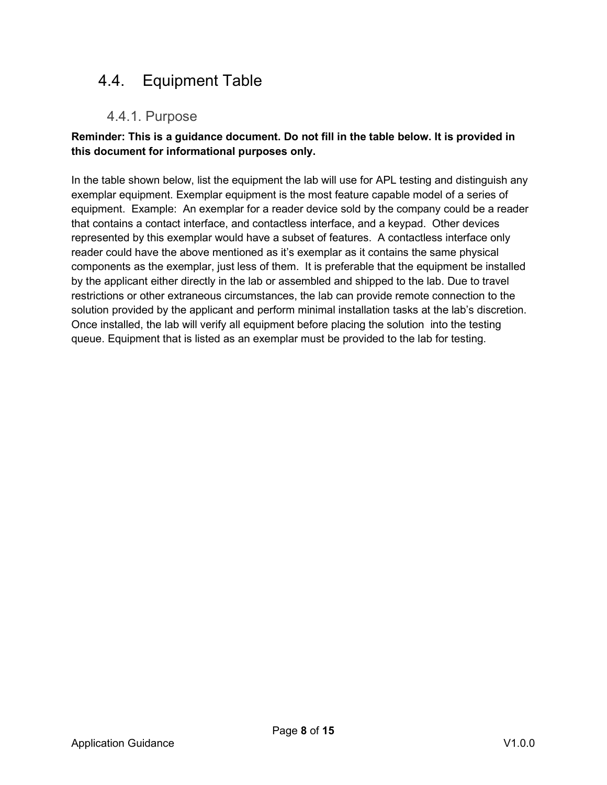## 4.4. Equipment Table

### 4.4.1. Purpose

#### Reminder: This is a guidance document. Do not fill in the table below. It is provided in this document for informational purposes only.

In the table shown below, list the equipment the lab will use for APL testing and distinguish any exemplar equipment. Exemplar equipment is the most feature capable model of a series of equipment. Example: An exemplar for a reader device sold by the company could be a reader that contains a contact interface, and contactless interface, and a keypad. Other devices represented by this exemplar would have a subset of features. A contactless interface only reader could have the above mentioned as it's exemplar as it contains the same physical components as the exemplar, just less of them. It is preferable that the equipment be installed by the applicant either directly in the lab or assembled and shipped to the lab. Due to travel restrictions or other extraneous circumstances, the lab can provide remote connection to the solution provided by the applicant and perform minimal installation tasks at the lab's discretion. Once installed, the lab will verify all equipment before placing the solution into the testing queue. Equipment that is listed as an exemplar must be provided to the lab for testing.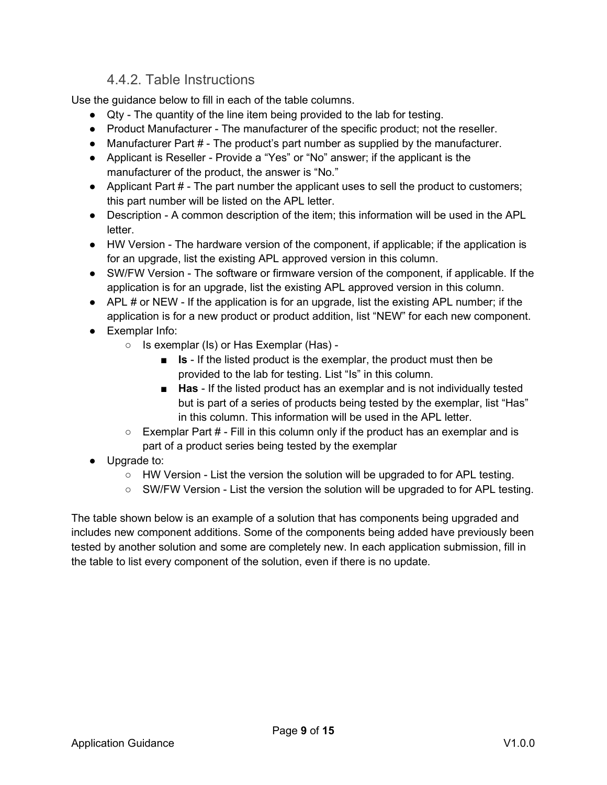#### 4.4.2. Table Instructions

Use the guidance below to fill in each of the table columns.

- Qty The quantity of the line item being provided to the lab for testing.
- Product Manufacturer The manufacturer of the specific product; not the reseller.
- Manufacturer Part # The product's part number as supplied by the manufacturer.
- Applicant is Reseller Provide a "Yes" or "No" answer; if the applicant is the manufacturer of the product, the answer is "No."
- Applicant Part # The part number the applicant uses to sell the product to customers; this part number will be listed on the APL letter.
- Description A common description of the item; this information will be used in the APL letter.
- HW Version The hardware version of the component, if applicable; if the application is for an upgrade, list the existing APL approved version in this column.
- SW/FW Version The software or firmware version of the component, if applicable. If the application is for an upgrade, list the existing APL approved version in this column.
- $\bullet$  APL # or NEW If the application is for an upgrade, list the existing APL number; if the application is for a new product or product addition, list "NEW" for each new component.
- Exemplar Info:
	- Is exemplar (Is) or Has Exemplar (Has)
		- Is If the listed product is the exemplar, the product must then be provided to the lab for testing. List "Is" in this column.
		- Has If the listed product has an exemplar and is not individually tested but is part of a series of products being tested by the exemplar, list "Has" in this column. This information will be used in the APL letter.
	- $\circ$  Exemplar Part # Fill in this column only if the product has an exemplar and is part of a product series being tested by the exemplar
- Upgrade to:
	- $\circ$  HW Version List the version the solution will be upgraded to for APL testing.
	- SW/FW Version List the version the solution will be upgraded to for APL testing.

The table shown below is an example of a solution that has components being upgraded and includes new component additions. Some of the components being added have previously been tested by another solution and some are completely new. In each application submission, fill in the table to list every component of the solution, even if there is no update.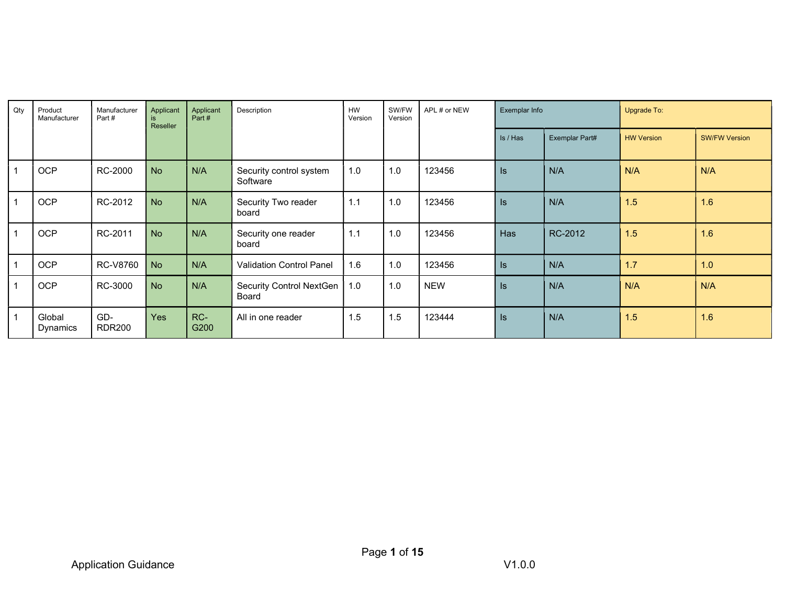| Qty            | Product<br>Manufacturer | Manufacturer<br>Part# | Applicant<br>is<br>Reseller | Applicant<br>Part # | Description                         | <b>HW</b><br>Version | SW/FW<br>Version | APL # or NEW | Exemplar Info   |                | Upgrade To:       |                      |
|----------------|-------------------------|-----------------------|-----------------------------|---------------------|-------------------------------------|----------------------|------------------|--------------|-----------------|----------------|-------------------|----------------------|
|                |                         |                       |                             |                     |                                     |                      |                  |              | Is / Has        | Exemplar Part# | <b>HW Version</b> | <b>SW/FW Version</b> |
|                | OCP                     | RC-2000               | <b>No</b>                   | N/A                 | Security control system<br>Software | 1.0                  | 1.0              | 123456       | $\sf ls$        | N/A            | N/A               | N/A                  |
|                | OCP                     | RC-2012               | <b>No</b>                   | N/A                 | Security Two reader<br>board        | 1.1                  | 1.0              | 123456       | $\sf ls$        | N/A            | 1.5               | 1.6                  |
| 1              | OCP                     | RC-2011               | <b>No</b>                   | N/A                 | Security one reader<br>board        | 1.1                  | 1.0              | 123456       | Has             | RC-2012        | 1.5               | 1.6                  |
| $\mathbf{1}$   | OCP                     | RC-V8760              | No                          | N/A                 | <b>Validation Control Panel</b>     | 1.6                  | 1.0              | 123456       | $\sf ls$        | N/A            | 1.7               | 1.0                  |
| $\mathbf{1}$   | OCP                     | RC-3000               | <b>No</b>                   | N/A                 | Security Control NextGen<br>Board   | 1.0                  | 1.0              | <b>NEW</b>   | $\vert s \vert$ | N/A            | N/A               | N/A                  |
| $\overline{1}$ | Global<br>Dynamics      | GD-<br><b>RDR200</b>  | <b>Yes</b>                  | RC-<br>G200         | All in one reader                   | 1.5                  | 1.5              | 123444       | $\mathsf{ls}$   | N/A            | 1.5               | 1.6                  |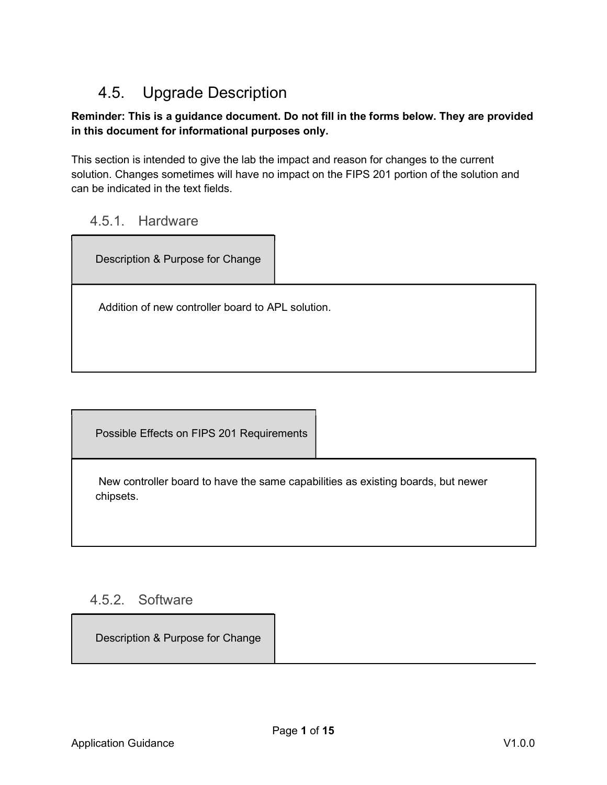## 4.5. Upgrade Description

#### Reminder: This is a guidance document. Do not fill in the forms below. They are provided in this document for informational purposes only.

This section is intended to give the lab the impact and reason for changes to the current solution. Changes sometimes will have no impact on the FIPS 201 portion of the solution and can be indicated in the text fields.

#### 4.5.1. Hardware

Description & Purpose for Change Addition of new controller board to APL solution.

Possible Effects on FIPS 201 Requirements

 New controller board to have the same capabilities as existing boards, but newer chipsets.

### 4.5.2. Software

Description & Purpose for Change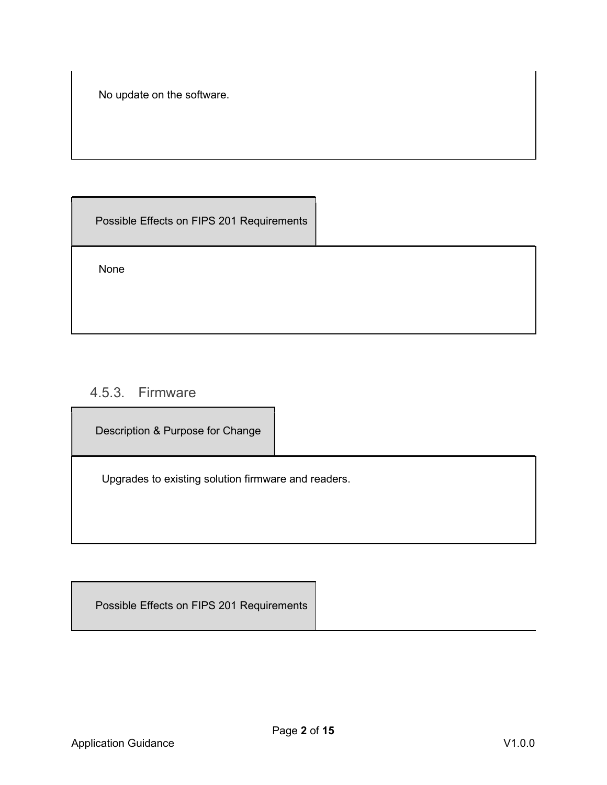No update on the software.

Possible Effects on FIPS 201 Requirements

None

### 4.5.3. Firmware

Description & Purpose for Change

Upgrades to existing solution firmware and readers.

Possible Effects on FIPS 201 Requirements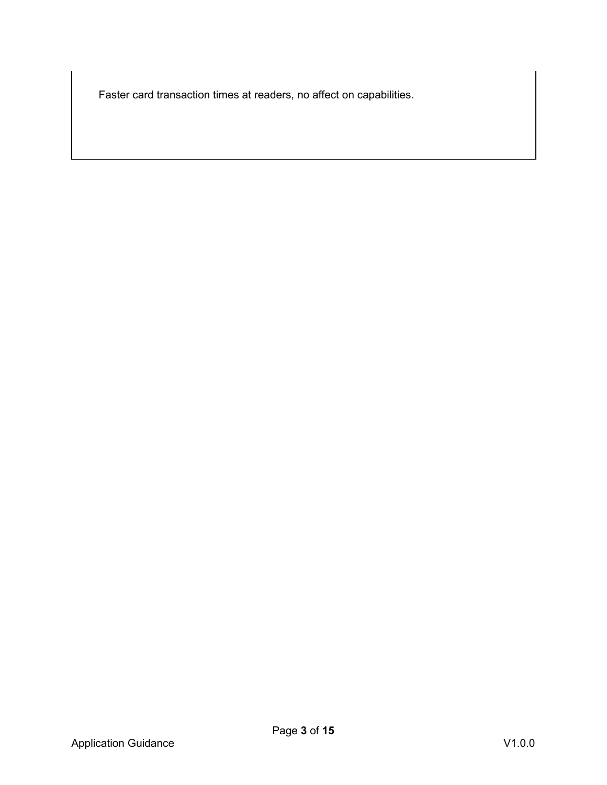Faster card transaction times at readers, no affect on capabilities.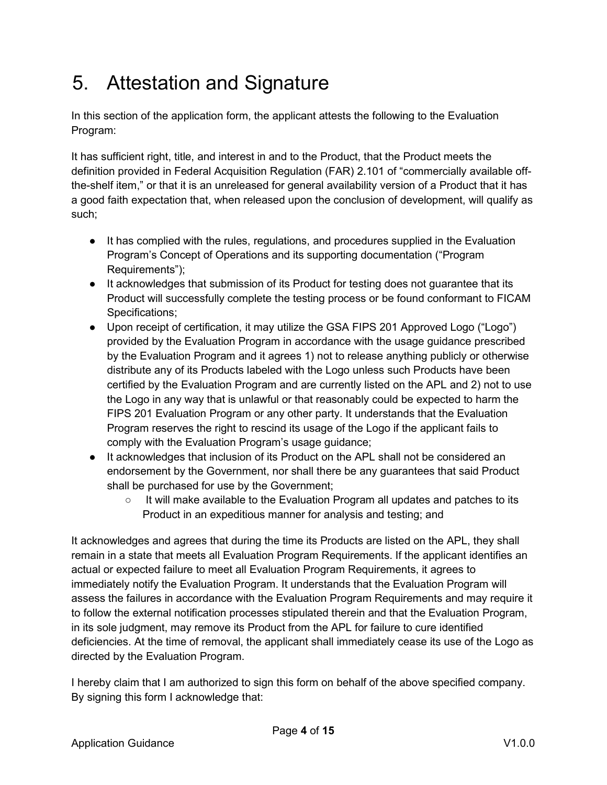# 5. Attestation and Signature

In this section of the application form, the applicant attests the following to the Evaluation Program:

It has sufficient right, title, and interest in and to the Product, that the Product meets the definition provided in Federal Acquisition Regulation (FAR) 2.101 of "commercially available offthe-shelf item," or that it is an unreleased for general availability version of a Product that it has a good faith expectation that, when released upon the conclusion of development, will qualify as such;

- It has complied with the rules, regulations, and procedures supplied in the Evaluation Program's Concept of Operations and its supporting documentation ("Program Requirements");
- It acknowledges that submission of its Product for testing does not guarantee that its Product will successfully complete the testing process or be found conformant to FICAM Specifications;
- Upon receipt of certification, it may utilize the GSA FIPS 201 Approved Logo ("Logo") provided by the Evaluation Program in accordance with the usage guidance prescribed by the Evaluation Program and it agrees 1) not to release anything publicly or otherwise distribute any of its Products labeled with the Logo unless such Products have been certified by the Evaluation Program and are currently listed on the APL and 2) not to use the Logo in any way that is unlawful or that reasonably could be expected to harm the FIPS 201 Evaluation Program or any other party. It understands that the Evaluation Program reserves the right to rescind its usage of the Logo if the applicant fails to comply with the Evaluation Program's usage guidance;
- It acknowledges that inclusion of its Product on the APL shall not be considered an endorsement by the Government, nor shall there be any guarantees that said Product shall be purchased for use by the Government;
	- $\circ$  It will make available to the Evaluation Program all updates and patches to its Product in an expeditious manner for analysis and testing; and

It acknowledges and agrees that during the time its Products are listed on the APL, they shall remain in a state that meets all Evaluation Program Requirements. If the applicant identifies an actual or expected failure to meet all Evaluation Program Requirements, it agrees to immediately notify the Evaluation Program. It understands that the Evaluation Program will assess the failures in accordance with the Evaluation Program Requirements and may require it to follow the external notification processes stipulated therein and that the Evaluation Program, in its sole judgment, may remove its Product from the APL for failure to cure identified deficiencies. At the time of removal, the applicant shall immediately cease its use of the Logo as directed by the Evaluation Program.

I hereby claim that I am authorized to sign this form on behalf of the above specified company. By signing this form I acknowledge that: